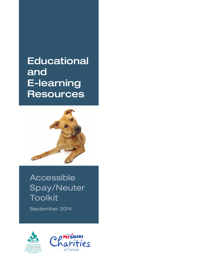**Educational** and E-learning **Resources** 



# Accessible Spay/Neuter Toolkit

September 2014



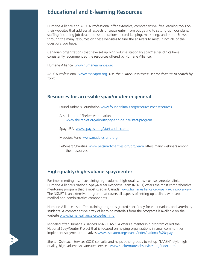## **Educational and E-learning Resources**

Humane Alliance and ASPCA Professional offer extensive, comprehensive, free learning tools on their websites that address all aspects of spay/neuter, from budgeting to setting up floor plans, staffing (including job descriptions), operations, record-keeping, marketing, and more. Browse through the many resources on these websites to find the answers to most, if not all, of the questions you have.

Canadian organizations that have set up high volume stationary spay/neuter clinics have consistently recommended the resources offered by Humane Alliance.

Humane Alliance [www.humanealliance.org](http://www.humanealliance.org/)

ASPCA Professional [www.aspcapro.org](http://www.aspcapro.org/) *Use the "Filter Resources" search feature to search by topic.*

#### **Resources for accessible spay/neuter in general**

Found Animals Foundation [www.foundanimals.org/resources/pet-resources](http://www.foundanimals.org/resources/pet-resources)

Association of Shelter Veterinarians [www.sheltervet.org/about/spay-and-neuter/start-program](http://www.sheltervet.org/about/spay-and-neuter/start-program/)

Spay USA [www.spayusa.org/start-a-clinic.php](http://www.spayusa.org/start-a-clinic.php)

Maddie's Fund [www.maddiesfund.org](http://www.maddiesfund.org)

PetSmart Charities [www.petsmartcharities.org/pro/learn](http://www.petsmartcharities.org/pro/learn) offers many webinars among their resources

### **High-quality/high-volume spay/neuter**

For implementing a self-sustaining high-volume, high-quality, low-cost spay/neuter clinic, Humane Alliance's National Spay/Neuter Response Team (NSNRT) offers the most comprehensive mentoring program that is most used in Canada www.[humanealliance.org/open-a-clinic/overview.](http://humanealliance.org/open-a-clinic/overview) The NSNRT is an extensive program that covers all aspects of setting up a clinic, with separate medical and administrative components.

Humane Alliance also offers training programs geared specifically for veterinarians and veterinary students. A comprehensive array of learning materials from the programs is available on the website www.[humanealliance.org/e-learning.](http://humanealliance.org/e-learning)

Modeled after Humane Alliance's NSNRT, ASPCA offers a mentorship program called the National Spay/Neuter Project that is focused on helping organizations in small communities implement spay/neuter initiatives [www.aspcapro.org/search/index/national%20spay](http://www.aspcapro.org/search/index/national spay)

Shelter Outreach Services (SOS) consults and helps other groups to set up "MASH"-style high quality, high volume spay/neuter services [www.shelteroutreachservices.org/index.html](http://www.shelteroutreachservices.org/index.html)